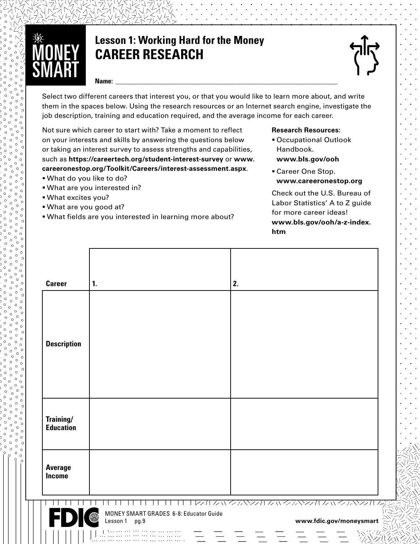

## **Lesson 1: Working Hard for the Money CAREER RESEARCH**



#### **Name: \_\_\_\_\_\_\_\_\_\_\_\_\_\_\_\_\_\_\_\_\_\_\_\_\_\_\_\_\_\_\_\_\_\_\_\_\_\_\_\_\_\_\_\_\_\_\_\_\_\_\_\_\_\_\_\_\_\_\_\_\_\_\_\_\_\_**

Select two different careers that interest you, or that you would like to learn more about, and write<br>them in the spaces below. Using the research resources or an Internet search engine, investigate th<br>job description, tra them in the spaces below. Using the research resources or an Internet search engine, investigate the job description, training and education required, and the average income for each career.

R Not sure which career to start with? Take a moment to reflect T on your interests and skills by answering the questions below or taking an interest survey to assess strengths and capabilities, such as **[https://careertech.org/student-interest-survey](ttps://careertech.org/student-interest-survey)** or **[www.](http://www.careeronestop.org/Toolkit/Careers/interest-assessment.aspx) [careeronestop.org/Toolkit/Careers/interest-assessment.aspx](http://www.careeronestop.org/Toolkit/Careers/interest-assessment.aspx)**.

- § What do you like to do?
- § What are you interested in?
- § What excites you?

www.coooooooooo

- § What are you good at?
- **What fields are you interested in learning more about?**

#### **Research Resources:**

- § Occupational Outlook Handbook.
- **[www.bls.gov/ooh](http://www.bls.gov/ooh)**
- § Career One Stop. **[www.careeronestop.org](http://www.careeronestop.org)**

Check out the U.S. Bureau of Labor Statistics' A to Z guide for more career ideas! **[www.bls.gov/ooh/a-z-index.](http://www.bls.gov/ooh/a-z-index.htm) [htm](http://www.bls.gov/ooh/a-z-index.htm)**

| <b>Career</b>                   | $\mathbf{1}$ .                                                            | 2.                                                    |
|---------------------------------|---------------------------------------------------------------------------|-------------------------------------------------------|
| <b>Description</b>              |                                                                           |                                                       |
| Training/<br><b>Education</b>   |                                                                           |                                                       |
| <b>Average</b><br><b>Income</b> |                                                                           |                                                       |
|                                 | MONEY SMART GRADES 6-8: Educator Guide<br>$\circledcirc$<br>Lesson 1 pg.9 | エルハカ マネマルカ かくえきマルカ かくえきマルト<br>www.fdic.gov/moneysmart |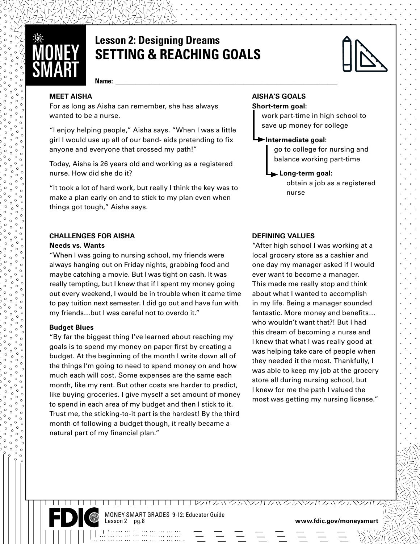

## **Lesson 2: Designing Dreams SETTING & REACHING GOALS**



**Name: \_\_\_\_\_\_\_\_\_\_\_\_\_\_\_\_\_\_\_\_\_\_\_\_\_\_\_\_\_\_\_\_\_\_\_\_\_\_\_\_\_\_\_\_\_\_\_\_\_\_\_\_\_\_\_\_\_\_\_\_\_\_\_\_\_\_**

#### **MEET AISHA**

For as long as Aisha can remember, she has always wanted to be a nurse.

"I enjoy helping people," Aisha says. "When I was a little girl I would use up all of our band- aids pretending to fix anyone and everyone that crossed my path!"

Today, Aisha is 26 years old and working as a registered nurse. How did she do it?

"It took a lot of hard work, but really I think the key was to make a plan early on and to stick to my plan even when things got tough," Aisha says.

### **CHALLENGES FOR AISHA**

#### **Needs vs. Wants**

"When I was going to nursing school, my friends were always hanging out on Friday nights, grabbing food and maybe catching a movie. But I was tight on cash. It was really tempting, but I knew that if I spent my money going out every weekend, I would be in trouble when it came time to pay tuition next semester. I did go out and have fun with my friends…but I was careful not to overdo it."

#### **Budget Blues**

www.coooooooooo

"By far the biggest thing I've learned about reaching my goals is to spend my money on paper first by creating a budget. At the beginning of the month I write down all of the things I'm going to need to spend money on and how much each will cost. Some expenses are the same each month, like my rent. But other costs are harder to predict, like buying groceries. I give myself a set amount of money to spend in each area of my budget and then I stick to it. Trust me, the sticking-to-it part is the hardest! By the third month of following a budget though, it really became a natural part of my financial plan."

#### **AISHA'S GOALS**

#### **Short-term goal:**

work part-time in high school to save up money for college

#### **Intermediate goal:**

go to college for nursing and balance working part-time

#### **Long-term goal:**

obtain a job as a registered nurse

#### **DEFINING VALUES**

"After high school I was working at a local grocery store as a cashier and one day my manager asked if I would ever want to become a manager. This made me really stop and think about what I wanted to accomplish in my life. Being a manager sounded fantastic. More money and benefits… who wouldn't want that?! But I had this dream of becoming a nurse and I knew that what I was really good at was helping take care of people when they needed it the most. Thankfully, I was able to keep my job at the grocery store all during nursing school, but I knew for me the path I valued the most was getting my nursing license."

MONEY SMART GRADES 9-12: Educator Guide

www.fdic.gov/moneysmart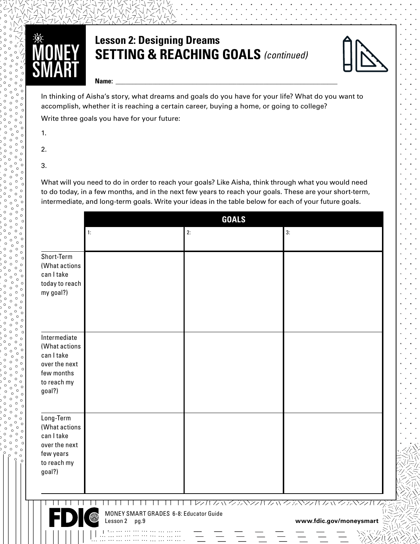

## **Lesson 2: Designing Dreams SETTING & REACHING GOALS** *(continued)*



**Name: \_\_\_\_\_\_\_\_\_\_\_\_\_\_\_\_\_\_\_\_\_\_\_\_\_\_\_\_\_\_\_\_\_\_\_\_\_\_\_\_\_\_\_\_\_\_\_\_\_\_\_\_\_\_\_\_\_\_\_\_\_\_\_\_\_\_**

In<br>ac<br>W In thinking of Aisha's story, what dreams and goals do you have for your life? What do you want to accomplish, whether it is reaching a certain career, buying a home, or going to college?

Write three goals you have for your future:

- R  $\blacksquare$  1.
	- 2.
	- 3.

www.coooooooooo

What will you need to do in order to reach your goals? Like Aisha, think through what you would need to do today, in a few months, and in the next few years to reach your goals. These are your short-term, intermediate, and long-term goals. Write your ideas in the table below for each of your future goals.

|                                                                                                     | <b>GOALS</b>                                               |    |                                                                              |
|-----------------------------------------------------------------------------------------------------|------------------------------------------------------------|----|------------------------------------------------------------------------------|
|                                                                                                     | 1:                                                         | 2: | 3:                                                                           |
| Short-Term<br>(What actions<br>can I take<br>today to reach<br>my goal?)                            |                                                            |    |                                                                              |
| Intermediate<br>(What actions<br>can I take<br>over the next<br>few months<br>to reach my<br>goal?) |                                                            |    |                                                                              |
| Long-Term<br>(What actions<br>can I take<br>over the next<br>few years<br>to reach my<br>goal?)     |                                                            |    |                                                                              |
|                                                                                                     | MONEY SMART GRADES 6-8: Educator Guide<br>Lesson 2<br>pg.9 |    | シハルバクデベンバ クぃクデベンバ ケぃベンバ ム<br>www.fdic.gov/moneysmart<br>$\mathcal{M}_{\ell}$ |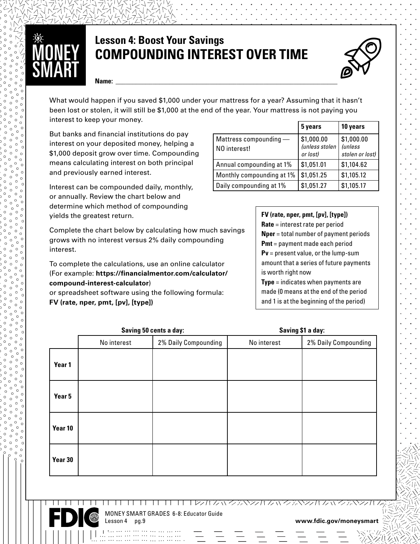# ŴÇ<br>SN

## **Lesson 4: Boost Your Savings COMPOUNDING INTEREST OVER TIME**



**Name: \_\_\_\_\_\_\_\_\_\_\_\_\_\_\_\_\_\_\_\_\_\_\_\_\_\_\_\_\_\_\_\_\_\_\_\_\_\_\_\_\_\_\_\_\_\_\_\_\_\_\_\_\_\_\_\_\_\_\_\_\_\_\_\_\_\_**

What would happen if you saved \$1,000 under your mattress for a year? Assuming that it hasn't been lost or stolen, it will still be \$1,000 at the end of the year. Your mattress is not paying you interest to keep your money.

But banks and financial institutions do pay interest on your deposited money, helping a \$1,000 deposit grow over time. Compounding means calculating interest on both principal and previously earned interest.

yields the greatest return. Interest can be compounded daily, monthly, or annually. Review the chart below and determine which method of compounding

Complete the chart below by calculating how much savings grows with no interest versus 2% daily compounding interest.

To complete the calculations, use an online calculator (For example: **[https://financialmentor.com/calculator/](https://financialmentor.com/calculator/compound-interest-calculator) [compound-interest-calculator](https://financialmentor.com/calculator/compound-interest-calculator)**)

or spreadsheet software using the following formula: **FV (rate, nper, pmt, [pv], [type])**

|                                          | 5 years                                  | 10 years                                        |
|------------------------------------------|------------------------------------------|-------------------------------------------------|
| Mattress compounding $-$<br>NO interest! | \$1,000.00<br>(unless stolen<br>or lost) | \$1,000.00<br><i>(unless</i><br>stolen or lost) |
| Annual compounding at 1%                 | \$1,051.01                               | \$1,104.62                                      |
| Monthly compounding at 1%                | \$1,051.25                               | \$1,105.12                                      |
| Daily compounding at 1%                  | \$1,051.27                               | \$1,105.17                                      |

#### **FV (rate, nper, pmt, [pv], [type])**

**Rate** = interest rate per period **Nper** = total number of payment periods **Pmt** = payment made each period **Pv** = present value, or the lump-sum amount that a series of future payments is worth right now

**Type** = indicates when payments are made (0 means at the end of the period and 1 is at the beginning of the period)

|         | Saving 50 cents a day: |                      | Saving \$1 a day: |                      |
|---------|------------------------|----------------------|-------------------|----------------------|
|         | No interest            | 2% Daily Compounding | No interest       | 2% Daily Compounding |
| Year 1  |                        |                      |                   |                      |
| Year 5  |                        |                      |                   |                      |
| Year 10 |                        |                      |                   |                      |
| Year 30 |                        |                      |                   |                      |



www.coooooooooo

MONEY SMART GRADES 6-8: Educator Guide

Lesson 4 pg.9 **www.fdic.gov/moneysmart**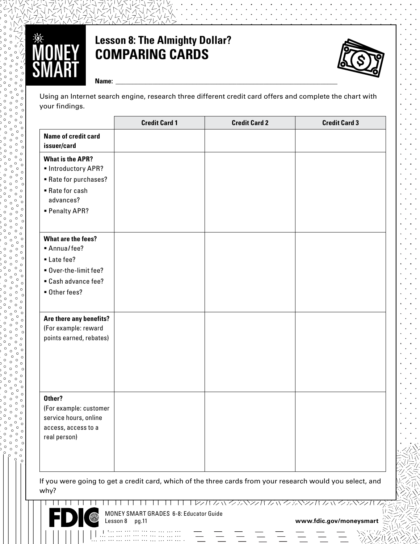

## **Lesson 8: The Almighty Dollar? COMPARING CARDS**



**Name: \_\_\_\_\_\_\_\_\_\_\_\_\_\_\_\_\_\_\_\_\_\_\_\_\_\_\_\_\_\_\_\_\_\_\_\_\_\_\_\_\_\_\_\_\_\_\_\_\_\_\_\_\_\_\_\_\_\_\_\_\_\_\_\_\_\_**

Us<br><sub>Yol</sub> Using an Internet search engine, research three different credit card offers and complete the chart with your findings.

|                                                                                                                         | <b>Credit Card 1</b> | <b>Credit Card 2</b> | <b>Credit Card 3</b> |
|-------------------------------------------------------------------------------------------------------------------------|----------------------|----------------------|----------------------|
| <b>Name of credit card</b><br>issuer/card                                                                               |                      |                      |                      |
| <b>What is the APR?</b><br>· Introductory APR?<br>Rate for purchases?<br>■ Rate for cash<br>advances?<br>- Penalty APR? |                      |                      |                      |
| What are the fees?<br>Annualfee?<br>Late fee?<br>Over-the-limit fee?<br>• Cash advance fee?<br>Other fees?              |                      |                      |                      |
| Are there any benefits?<br>(For example: reward<br>points earned, rebates)                                              |                      |                      |                      |
| Other?<br>(For example: customer<br>service hours, online<br>access, access to a<br>real person)                        |                      |                      |                      |

If you were going to get a credit card, which of the three cards from your research would you select, and why?



www.coooooooooo

 $\mathbf{L}$ MONEY SMART GRADES 6-8: Educator Guide

Lesson 8 pg.11 **www.fdic.gov/moneysmart**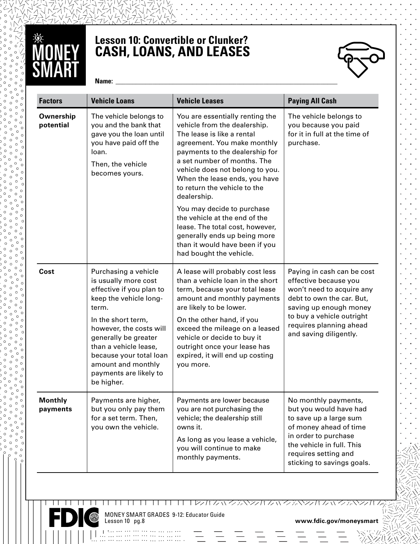

## **Lesson 10: Convertible or Clunker? CASH, LOANS, AND LEASES**



**Name: \_\_\_\_\_\_\_\_\_\_\_\_\_\_\_\_\_\_\_\_\_\_\_\_\_\_\_\_\_\_\_\_\_\_\_\_\_\_\_\_\_\_\_\_\_\_\_\_\_\_\_\_\_\_\_\_\_\_\_\_\_\_\_\_\_\_**

| <b>Factors</b>         | <b>Vehicle Loans</b>                                                                                                                                                                    | <b>Vehicle Leases</b>                                                                                                                                                                                                                                                                                                                                                                                              | <b>Paying All Cash</b>                                                                                                                                                                                                    |
|------------------------|-----------------------------------------------------------------------------------------------------------------------------------------------------------------------------------------|--------------------------------------------------------------------------------------------------------------------------------------------------------------------------------------------------------------------------------------------------------------------------------------------------------------------------------------------------------------------------------------------------------------------|---------------------------------------------------------------------------------------------------------------------------------------------------------------------------------------------------------------------------|
| Ownership<br>potential | The vehicle belongs to<br>you and the bank that<br>gave you the loan until<br>you have paid off the<br>loan.<br>Then, the vehicle<br>becomes yours.                                     | You are essentially renting the<br>vehicle from the dealership.<br>The lease is like a rental<br>agreement. You make monthly<br>payments to the dealership for<br>a set number of months. The<br>vehicle does not belong to you.<br>When the lease ends, you have<br>to return the vehicle to the<br>dealership.<br>You may decide to purchase<br>the vehicle at the end of the<br>lease. The total cost, however, | The vehicle belongs to<br>you because you paid<br>for it in full at the time of<br>purchase.                                                                                                                              |
|                        |                                                                                                                                                                                         | generally ends up being more<br>than it would have been if you<br>had bought the vehicle.                                                                                                                                                                                                                                                                                                                          |                                                                                                                                                                                                                           |
| Cost                   | Purchasing a vehicle<br>is usually more cost<br>effective if you plan to<br>keep the vehicle long-<br>term.                                                                             | A lease will probably cost less<br>than a vehicle loan in the short<br>term, because your total lease<br>amount and monthly payments<br>are likely to be lower.                                                                                                                                                                                                                                                    | Paying in cash can be cost<br>effective because you<br>won't need to acquire any<br>debt to own the car. But,<br>saving up enough money<br>to buy a vehicle outright<br>requires planning ahead<br>and saving diligently. |
|                        | In the short term,<br>however, the costs will<br>generally be greater<br>than a vehicle lease,<br>because your total loan<br>amount and monthly<br>payments are likely to<br>be higher. | On the other hand, if you<br>exceed the mileage on a leased<br>vehicle or decide to buy it<br>outright once your lease has<br>expired, it will end up costing<br>you more.                                                                                                                                                                                                                                         |                                                                                                                                                                                                                           |
| Monthly<br>payments    | Payments are higher,<br>but you only pay them<br>for a set term. Then,<br>you own the vehicle.                                                                                          | Payments are lower because<br>you are not purchasing the<br>vehicle; the dealership still<br>owns it.<br>As long as you lease a vehicle,<br>you will continue to make<br>monthly payments.                                                                                                                                                                                                                         | No monthly payments,<br>but you would have had<br>to save up a large sum<br>of money ahead of time<br>in order to purchase<br>the vehicle in full. This<br>requires setting and<br>sticking to savings goals.             |



 $\mathbf{I}$  $\perp$  $\perp$  $\perp$ 

MONEY SMART GRADES 9-12: Educator Guide

Lesson 10 pg.8 **www.fdic.gov/moneysmart**

TT TT TT フォルム ハンデベンサム ハンデベンカ ム ハンデベンカル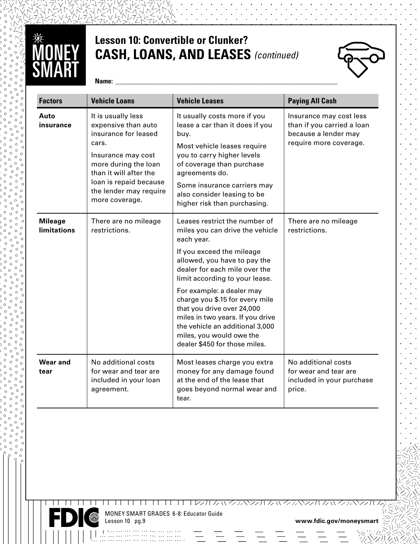

## **Lesson 10: Convertible or Clunker? CASH, LOANS, AND LEASES** *(continued)*



**Name: \_\_\_\_\_\_\_\_\_\_\_\_\_\_\_\_\_\_\_\_\_\_\_\_\_\_\_\_\_\_\_\_\_\_\_\_\_\_\_\_\_\_\_\_\_\_\_\_\_\_\_\_\_\_\_\_\_\_\_\_\_\_\_\_\_\_**

| <b>Factors</b>                       | <b>Vehicle Loans</b>                                                                                                                                                                                                     | <b>Vehicle Leases</b>                                                                                                                                                                                                                                                                                                                                                                                                                            | <b>Paying All Cash</b>                                                                                  |
|--------------------------------------|--------------------------------------------------------------------------------------------------------------------------------------------------------------------------------------------------------------------------|--------------------------------------------------------------------------------------------------------------------------------------------------------------------------------------------------------------------------------------------------------------------------------------------------------------------------------------------------------------------------------------------------------------------------------------------------|---------------------------------------------------------------------------------------------------------|
| Auto<br>insurance                    | It is usually less<br>expensive than auto<br>insurance for leased<br>cars.<br>Insurance may cost<br>more during the loan<br>than it will after the<br>loan is repaid because<br>the lender may require<br>more coverage. | It usually costs more if you<br>lease a car than it does if you<br>buy.<br>Most vehicle leases require<br>you to carry higher levels<br>of coverage than purchase<br>agreements do.<br>Some insurance carriers may<br>also consider leasing to be<br>higher risk than purchasing.                                                                                                                                                                | Insurance may cost less<br>than if you carried a loan<br>because a lender may<br>require more coverage. |
| <b>Mileage</b><br><b>limitations</b> | There are no mileage<br>restrictions.                                                                                                                                                                                    | Leases restrict the number of<br>miles you can drive the vehicle<br>each year.<br>If you exceed the mileage<br>allowed, you have to pay the<br>dealer for each mile over the<br>limit according to your lease.<br>For example: a dealer may<br>charge you \$.15 for every mile<br>that you drive over 24,000<br>miles in two years. If you drive<br>the vehicle an additional 3,000<br>miles, you would owe the<br>dealer \$450 for those miles. | There are no mileage<br>restrictions.                                                                   |
| <b>Wear and</b><br>tear              | No additional costs<br>for wear and tear are<br>included in your loan<br>agreement.                                                                                                                                      | Most leases charge you extra<br>money for any damage found<br>at the end of the lease that<br>goes beyond normal wear and<br>tear.                                                                                                                                                                                                                                                                                                               | No additional costs<br>for wear and tear are<br>included in your purchase<br>price.                     |



 $\perp$  $\Box$  $\mathbf{I}$ Τ.  $\perp$ 

www.coooooooooo

MONEY SMART GRADES 6-8: Educator Guide

www.fdic.gov/moneysmart

<u> TETELEZZINANZANZZINANZANZZINANZAANZZIN</u>